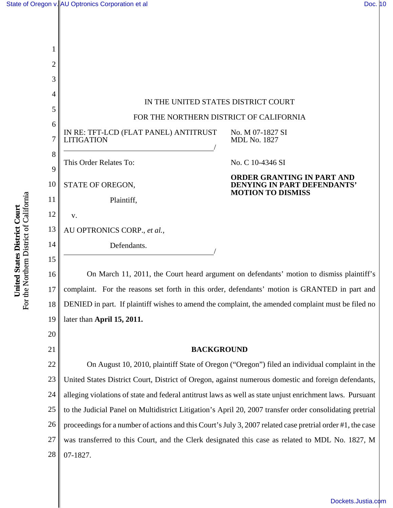

19 later than **April 15, 2011.**

21

20

#### **BACKGROUND**

22 23 24 25 26 27 28 On August 10, 2010, plaintiff State of Oregon ("Oregon") filed an individual complaint in the United States District Court, District of Oregon, against numerous domestic and foreign defendants, alleging violations of state and federal antitrust laws as well as state unjust enrichment laws. Pursuant to the Judicial Panel on Multidistrict Litigation's April 20, 2007 transfer order consolidating pretrial proceedings for a number of actions and this Court's July 3, 2007 related case pretrial order #1, the case was transferred to this Court, and the Clerk designated this case as related to MDL No. 1827, M 07-1827.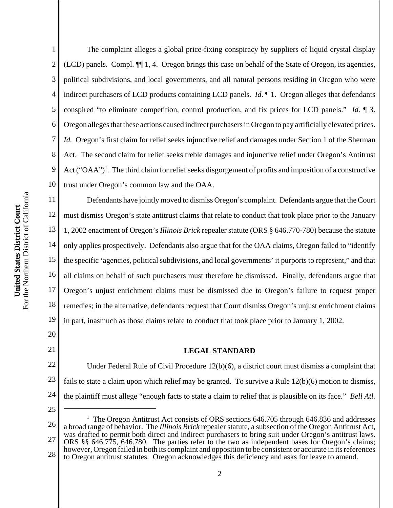1 2 3 4 5 6 7 8 9 The complaint alleges a global price-fixing conspiracy by suppliers of liquid crystal display (LCD) panels. Compl. ¶¶ 1, 4. Oregon brings this case on behalf of the State of Oregon, its agencies, political subdivisions, and local governments, and all natural persons residing in Oregon who were indirect purchasers of LCD products containing LCD panels. *Id*. ¶ 1. Oregon alleges that defendants conspired "to eliminate competition, control production, and fix prices for LCD panels." *Id.* ¶ 3. Oregon alleges that these actions caused indirect purchasers in Oregon to pay artificially elevated prices. *Id.* Oregon's first claim for relief seeks injunctive relief and damages under Section 1 of the Sherman Act. The second claim for relief seeks treble damages and injunctive relief under Oregon's Antitrust Act ("OAA")<sup>1</sup>. The third claim for relief seeks disgorgement of profits and imposition of a constructive trust under Oregon's common law and the OAA.

10 For the Northern District of California For the Northern District of California 11 United States District Court **United States District Court** 12 13 14 15 16 17 18 19

21

20

Defendants have jointly moved to dismiss Oregon's complaint. Defendants argue that the Court must dismiss Oregon's state antitrust claims that relate to conduct that took place prior to the January 1, 2002 enactment of Oregon's *Illinois Brick* repealer statute (ORS § 646.770-780) because the statute only applies prospectively. Defendants also argue that for the OAA claims, Oregon failed to "identify the specific 'agencies, political subdivisions, and local governments' it purports to represent," and that all claims on behalf of such purchasers must therefore be dismissed. Finally, defendants argue that Oregon's unjust enrichment claims must be dismissed due to Oregon's failure to request proper remedies; in the alternative, defendants request that Court dismiss Oregon's unjust enrichment claims in part, inasmuch as those claims relate to conduct that took place prior to January 1, 2002.

#### **LEGAL STANDARD**

22 23 24 Under Federal Rule of Civil Procedure 12(b)(6), a district court must dismiss a complaint that fails to state a claim upon which relief may be granted. To survive a Rule 12(b)(6) motion to dismiss, the plaintiff must allege "enough facts to state a claim to relief that is plausible on its face." *Bell Atl.*

25

26 27 28 <sup>1</sup> The Oregon Antitrust Act consists of ORS sections 646.705 through 646.836 and addresses a broad range of behavior. The *Illinois Brick* repealer statute, a subsection of the Oregon Antitrust Act, was drafted to permit both direct and indirect purchasers to bring suit under Oregon's antitrust laws. ORS §§ 646.775, 646.780. The parties refer to the two as independent bases for Oregon's claims; however, Oregon failed in both its complaint and opposition to be consistent or accurate in its references to Oregon antitrust statutes. Oregon acknowledges this deficiency and asks for leave to amend.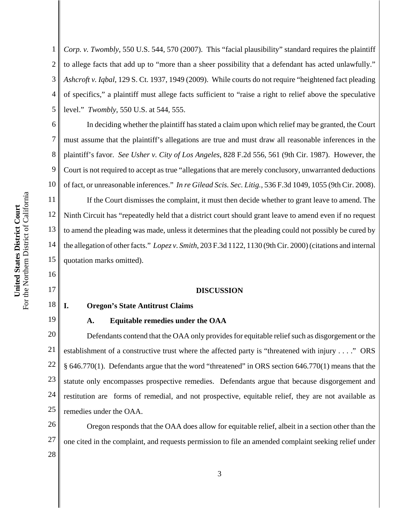1 2 3 4 5 *Corp. v. Twombly*, 550 U.S. 544, 570 (2007). This "facial plausibility" standard requires the plaintiff to allege facts that add up to "more than a sheer possibility that a defendant has acted unlawfully." *Ashcroft v. Iqbal*, 129 S. Ct. 1937, 1949 (2009). While courts do not require "heightened fact pleading of specifics," a plaintiff must allege facts sufficient to "raise a right to relief above the speculative level." *Twombly*, 550 U.S. at 544, 555.

6 10 In deciding whether the plaintiff has stated a claim upon which relief may be granted, the Court must assume that the plaintiff's allegations are true and must draw all reasonable inferences in the plaintiff's favor. *See Usher v. City of Los Angeles*, 828 F.2d 556, 561 (9th Cir. 1987). However, the Court is not required to accept as true "allegations that are merely conclusory, unwarranted deductions of fact, or unreasonable inferences." *In re Gilead Scis. Sec. Litig.*, 536 F.3d 1049, 1055 (9th Cir. 2008).

If the Court dismisses the complaint, it must then decide whether to grant leave to amend. The Ninth Circuit has "repeatedly held that a district court should grant leave to amend even if no request to amend the pleading was made, unless it determines that the pleading could not possibly be cured by the allegation of other facts." *Lopez v. Smith*, 203 F.3d 1122, 1130 (9th Cir. 2000) (citations and internal quotation marks omitted).

#### **DISCUSSION**

## 18

19

7

8

9

11

12

13

14

15

16

17

# **I. Oregon's State Antitrust Claims**

#### **A. Equitable remedies under the OAA**

20 21 22 23 24 25 Defendants contend that the OAA only provides for equitable relief such as disgorgement or the establishment of a constructive trust where the affected party is "threatened with injury . . . ." ORS § 646.770(1). Defendants argue that the word "threatened" in ORS section 646.770(1) means that the statute only encompasses prospective remedies. Defendants argue that because disgorgement and restitution are forms of remedial, and not prospective, equitable relief, they are not available as remedies under the OAA.

26 27 28 Oregon responds that the OAA does allow for equitable relief, albeit in a section other than the one cited in the complaint, and requests permission to file an amended complaint seeking relief under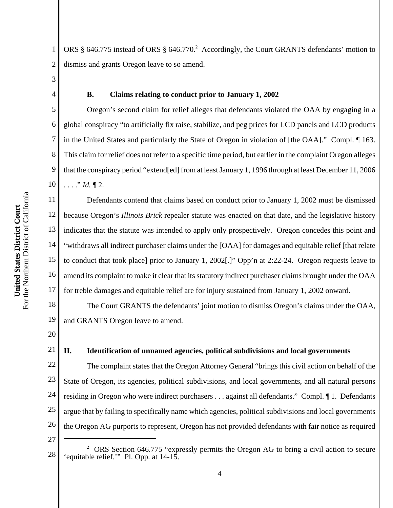1 2 ORS § 646.775 instead of ORS § 646.770.<sup>2</sup> Accordingly, the Court GRANTS defendants' motion to dismiss and grants Oregon leave to so amend.

3 4

5

6

7

8

9

10

11

#### **B. Claims relating to conduct prior to January 1, 2002**

Oregon's second claim for relief alleges that defendants violated the OAA by engaging in a global conspiracy "to artificially fix raise, stabilize, and peg prices for LCD panels and LCD products in the United States and particularly the State of Oregon in violation of [the OAA]." Compl. ¶ 163. This claim for relief does not refer to a specific time period, but earlier in the complaint Oregon alleges that the conspiracy period "extend[ed] from at least January 1, 1996 through at least December 11, 2006 . . . ." *Id.* ¶ 2.

12 13 14 15 16 17 Defendants contend that claims based on conduct prior to January 1, 2002 must be dismissed because Oregon's *Illinois Brick* repealer statute was enacted on that date, and the legislative history indicates that the statute was intended to apply only prospectively. Oregon concedes this point and "withdraws all indirect purchaser claims under the [OAA] for damages and equitable relief [that relate to conduct that took place] prior to January 1, 2002[.]" Opp'n at 2:22-24. Oregon requests leave to amend its complaint to make it clear that its statutory indirect purchaser claims brought under the OAA for treble damages and equitable relief are for injury sustained from January 1, 2002 onward.

18 19 The Court GRANTS the defendants' joint motion to dismiss Oregon's claims under the OAA, and GRANTS Oregon leave to amend.

20

21

#### **II. Identification of unnamed agencies, political subdivisions and local governments**

22 23 24 25 26 The complaint states that the Oregon Attorney General "brings this civil action on behalf of the State of Oregon, its agencies, political subdivisions, and local governments, and all natural persons residing in Oregon who were indirect purchasers . . . against all defendants." Compl. ¶ 1. Defendants argue that by failing to specifically name which agencies, political subdivisions and local governments the Oregon AG purports to represent, Oregon has not provided defendants with fair notice as required

27

<sup>28</sup> <sup>2</sup> ORS Section 646.775 "expressly permits the Oregon AG to bring a civil action to secure 'equitable relief.'" Pl. Opp. at 14-15.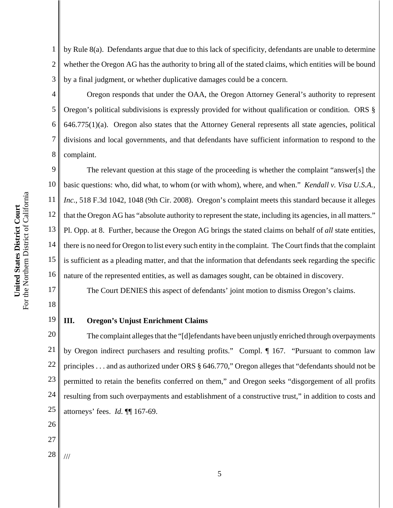4

5

6

7

8

1 2 3 by Rule 8(a). Defendants argue that due to this lack of specificity, defendants are unable to determine whether the Oregon AG has the authority to bring all of the stated claims, which entities will be bound by a final judgment, or whether duplicative damages could be a concern.

Oregon responds that under the OAA, the Oregon Attorney General's authority to represent Oregon's political subdivisions is expressly provided for without qualification or condition. ORS §  $646.775(1)(a)$ . Oregon also states that the Attorney General represents all state agencies, political divisions and local governments, and that defendants have sufficient information to respond to the complaint.

9 10 11 12 13 14 15 16 The relevant question at this stage of the proceeding is whether the complaint "answer[s] the basic questions: who, did what, to whom (or with whom), where, and when." *Kendall v. Visa U.S.A., Inc.*, 518 F.3d 1042, 1048 (9th Cir. 2008). Oregon's complaint meets this standard because it alleges that the Oregon AG has "absolute authority to represent the state, including its agencies, in all matters." Pl. Opp. at 8. Further, because the Oregon AG brings the stated claims on behalf of *all* state entities, there is no need for Oregon to list every such entity in the complaint. The Court finds that the complaint is sufficient as a pleading matter, and that the information that defendants seek regarding the specific nature of the represented entities, as well as damages sought, can be obtained in discovery.

The Court DENIES this aspect of defendants' joint motion to dismiss Oregon's claims.

## **III. Oregon's Unjust Enrichment Claims**

20 21 22 23 24 25 The complaint alleges that the "[d]efendants have been unjustly enriched through overpayments by Oregon indirect purchasers and resulting profits." Compl. ¶ 167. "Pursuant to common law principles . . . and as authorized under ORS § 646.770," Oregon alleges that "defendants should not be permitted to retain the benefits conferred on them," and Oregon seeks "disgorgement of all profits resulting from such overpayments and establishment of a constructive trust," in addition to costs and attorneys' fees. *Id.* ¶¶ 167-69.

26

17

18

19

27

28 ///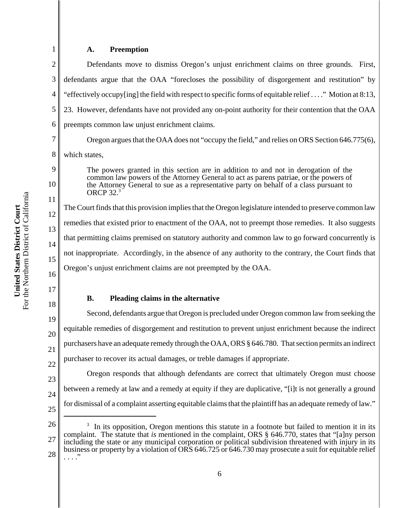#### **A. Preemption**

1

7

8

9

10

11

12

13

14

15

16

17

18

19

20

21

22

2 3 4 5 6 Defendants move to dismiss Oregon's unjust enrichment claims on three grounds. First, defendants argue that the OAA "forecloses the possibility of disgorgement and restitution" by "effectively occupy[ing] the field with respect to specific forms of equitable relief . . . ." Motion at 8:13, 23. However, defendants have not provided any on-point authority for their contention that the OAA preempts common law unjust enrichment claims.

Oregon argues that the OAA does not "occupy the field," and relies on ORS Section 646.775(6), which states,

The powers granted in this section are in addition to and not in derogation of the common law powers of the Attorney General to act as parens patriae, or the powers of the Attorney General to sue as a representative party on behalf of a class pursuant to ORCP 32.3

The Court finds that this provision implies that the Oregon legislature intended to preserve common law remedies that existed prior to enactment of the OAA, not to preempt those remedies. It also suggests that permitting claims premised on statutory authority and common law to go forward concurrently is not inappropriate. Accordingly, in the absence of any authority to the contrary, the Court finds that Oregon's unjust enrichment claims are not preempted by the OAA.

## **B. Pleading claims in the alternative**

Second, defendants argue that Oregon is precluded under Oregon common law from seeking the equitable remedies of disgorgement and restitution to prevent unjust enrichment because the indirect purchasers have an adequate remedy through the OAA, ORS § 646.780. That section permits an indirect purchaser to recover its actual damages, or treble damages if appropriate.

23 Oregon responds that although defendants are correct that ultimately Oregon must choose between a remedy at law and a remedy at equity if they are duplicative, "[i]t is not generally a ground for dismissal of a complaint asserting equitable claims that the plaintiff has an adequate remedy of law."

- 24
- 25

<sup>26</sup> <sup>3</sup> In its opposition, Oregon mentions this statute in a footnote but failed to mention it in its complaint. The statute that *is* mentioned in the complaint, ORS § 646.770, states that "[a]ny person including the state or any municipal corporation or political subdivision threatened with injury in its business or property by a violation of ORS 646.725 or 646.730 may prosecute a suit for equitable relief . . . ."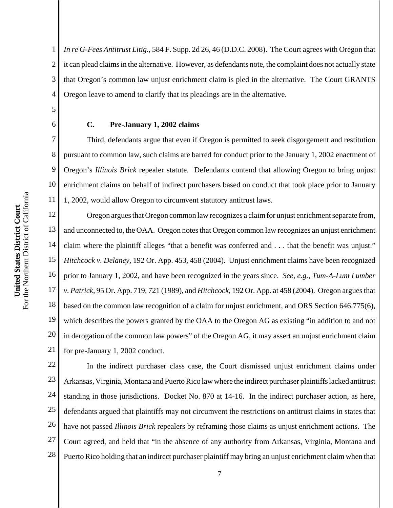5

6

7

8

9

10

11

1 2 3 4 *In re G-Fees Antitrust Litig.*, 584 F. Supp. 2d 26, 46 (D.D.C. 2008). The Court agrees with Oregon that it can plead claims in the alternative. However, as defendants note, the complaint does not actually state that Oregon's common law unjust enrichment claim is pled in the alternative. The Court GRANTS Oregon leave to amend to clarify that its pleadings are in the alternative.

#### **C. Pre-January 1, 2002 claims**

Third, defendants argue that even if Oregon is permitted to seek disgorgement and restitution pursuant to common law, such claims are barred for conduct prior to the January 1, 2002 enactment of Oregon's *Illinois Brick* repealer statute. Defendants contend that allowing Oregon to bring unjust enrichment claims on behalf of indirect purchasers based on conduct that took place prior to January 1, 2002, would allow Oregon to circumvent statutory antitrust laws.

12 13 14 15 16 17 18 19 20 21 Oregon argues that Oregon common law recognizes a claim for unjust enrichment separate from, and unconnected to, the OAA. Oregon notes that Oregon common law recognizes an unjust enrichment claim where the plaintiff alleges "that a benefit was conferred and . . . that the benefit was unjust." *Hitchcock v. Delaney*, 192 Or. App. 453, 458 (2004). Unjust enrichment claims have been recognized prior to January 1, 2002, and have been recognized in the years since. *See, e.g., Tum-A-Lum Lumber v. Patrick*, 95 Or. App. 719, 721 (1989), and *Hitchcock*, 192 Or. App. at 458 (2004). Oregon argues that based on the common law recognition of a claim for unjust enrichment, and ORS Section 646.775(6), which describes the powers granted by the OAA to the Oregon AG as existing "in addition to and not in derogation of the common law powers" of the Oregon AG, it may assert an unjust enrichment claim for pre-January 1, 2002 conduct.

22 23 24 25 26 27 28 In the indirect purchaser class case, the Court dismissed unjust enrichment claims under Arkansas, Virginia, Montana and Puerto Rico law where the indirect purchaser plaintiffs lacked antitrust standing in those jurisdictions. Docket No. 870 at 14-16. In the indirect purchaser action, as here, defendants argued that plaintiffs may not circumvent the restrictions on antitrust claims in states that have not passed *Illinois Brick* repealers by reframing those claims as unjust enrichment actions. The Court agreed, and held that "in the absence of any authority from Arkansas, Virginia, Montana and Puerto Rico holding that an indirect purchaser plaintiff may bring an unjust enrichment claim when that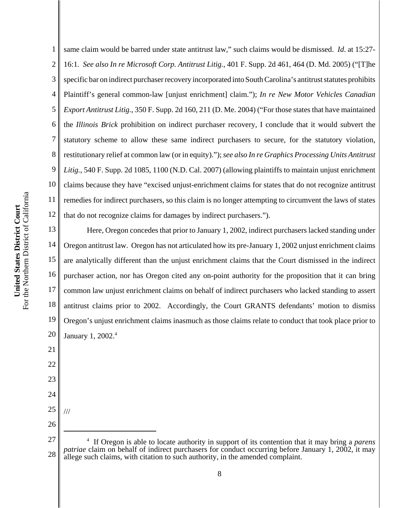1

2 3 4 same claim would be barred under state antitrust law," such claims would be dismissed. *Id*. at 15:27- 16:1. *See also In re Microsoft Corp. Antitrust Litig.*, 401 F. Supp. 2d 461, 464 (D. Md. 2005) ("[T]he specific bar on indirect purchaser recovery incorporated into South Carolina's antitrust statutes prohibits Plaintiff's general common-law [unjust enrichment] claim."); *In re New Motor Vehicles Canadian Export Antitrust Litig.*, 350 F. Supp. 2d 160, 211 (D. Me. 2004) ("For those states that have maintained the *Illinois Brick* prohibition on indirect purchaser recovery, I conclude that it would subvert the statutory scheme to allow these same indirect purchasers to secure, for the statutory violation, restitutionary relief at common law (or in equity)."); *see also In re Graphics Processing Units Antitrust Litig.*, 540 F. Supp. 2d 1085, 1100 (N.D. Cal. 2007) (allowing plaintiffs to maintain unjust enrichment claims because they have "excised unjust-enrichment claims for states that do not recognize antitrust remedies for indirect purchasers, so this claim is no longer attempting to circumvent the laws of states that do not recognize claims for damages by indirect purchasers.").

18 19 20 Here, Oregon concedes that prior to January 1, 2002, indirect purchasers lacked standing under Oregon antitrust law. Oregon has not articulated how its pre-January 1, 2002 unjust enrichment claims are analytically different than the unjust enrichment claims that the Court dismissed in the indirect purchaser action, nor has Oregon cited any on-point authority for the proposition that it can bring common law unjust enrichment claims on behalf of indirect purchasers who lacked standing to assert antitrust claims prior to 2002. Accordingly, the Court GRANTS defendants' motion to dismiss Oregon's unjust enrichment claims inasmuch as those claims relate to conduct that took place prior to January 1, 2002.<sup>4</sup>

25 26

///

21

22

23

24

27 28 4 If Oregon is able to locate authority in support of its contention that it may bring a *parens patriae* claim on behalf of indirect purchasers for conduct occurring before January 1, 2002, it may allege such claims, with citation to such authority, in the amended complaint.